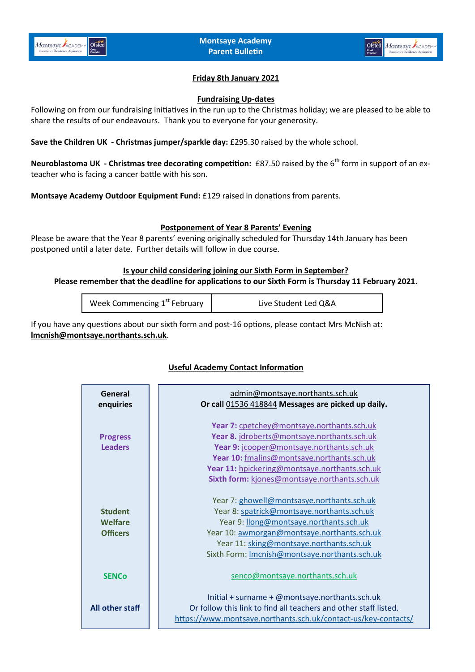

# **Friday 8th January 2021**

## **Fundraising Up-dates**

Following on from our fundraising initiatives in the run up to the Christmas holiday; we are pleased to be able to share the results of our endeavours. Thank you to everyone for your generosity.

**Save the Children UK - Christmas jumper/sparkle day:** £295.30 raised by the whole school.

**Neuroblastoma UK - Christmas tree decorating competition:** £87.50 raised by the 6<sup>th</sup> form in support of an exteacher who is facing a cancer battle with his son.

**Montsaye Academy Outdoor Equipment Fund:** £129 raised in donations from parents.

## **Postponement of Year 8 Parents' Evening**

Please be aware that the Year 8 parents' evening originally scheduled for Thursday 14th January has been postponed until a later date. Further details will follow in due course.

## **Is your child considering joining our Sixth Form in September?**

**Please remember that the deadline for applications to our Sixth Form is Thursday 11 February 2021.** 

| Week Commencing 1 <sup>st</sup> February | Live Student Led Q&A |  |
|------------------------------------------|----------------------|--|
|------------------------------------------|----------------------|--|

If you have any questions about our sixth form and post-16 options, please contact Mrs McNish at: **[lmcnish@montsaye.northants.sch.uk](mailto:lmcnish@montsaye.northants.sch.uk)**.

# **Useful Academy Contact Information**

| General<br>enquiries                         | admin@montsaye.northants.sch.uk<br>Or call 01536 418844 Messages are picked up daily.                                                                                                |
|----------------------------------------------|--------------------------------------------------------------------------------------------------------------------------------------------------------------------------------------|
| <b>Progress</b><br><b>Leaders</b>            | Year 7: cpetchey@montsaye.northants.sch.uk<br>Year 8. jdroberts@montsaye.northants.sch.uk<br>Year 9: jcooper@montsaye.northants.sch.uk<br>Year 10: fmalins@montsaye.northants.sch.uk |
|                                              | Year 11: hpickering@montsaye.northants.sch.uk<br>Sixth form: kjones@montsaye.northants.sch.uk                                                                                        |
| <b>Student</b><br>Welfare<br><b>Officers</b> | Year 7: ghowell@montsasye.northants.sch.uk<br>Year 8: spatrick@montsaye.northants.sch.uk<br>Year 9: llong@montsaye.northants.sch.uk<br>Year 10: awmorgan@montsaye.northants.sch.uk   |
|                                              | Year 11: sking@montsaye.northants.sch.uk<br>Sixth Form: Imcnish@montsaye.northants.sch.uk                                                                                            |
| <b>SENCo</b>                                 | senco@montsaye.northants.sch.uk<br>Initial + surname + @montsaye.northants.sch.uk                                                                                                    |
| All other staff                              | Or follow this link to find all teachers and other staff listed.<br>https://www.montsaye.northants.sch.uk/contact-us/key-contacts/                                                   |